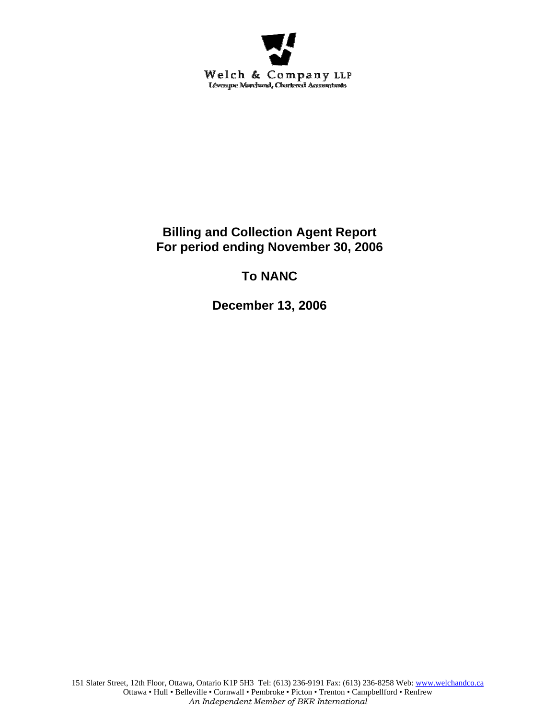

## **Billing and Collection Agent Report For period ending November 30, 2006**

# **To NANC**

**December 13, 2006**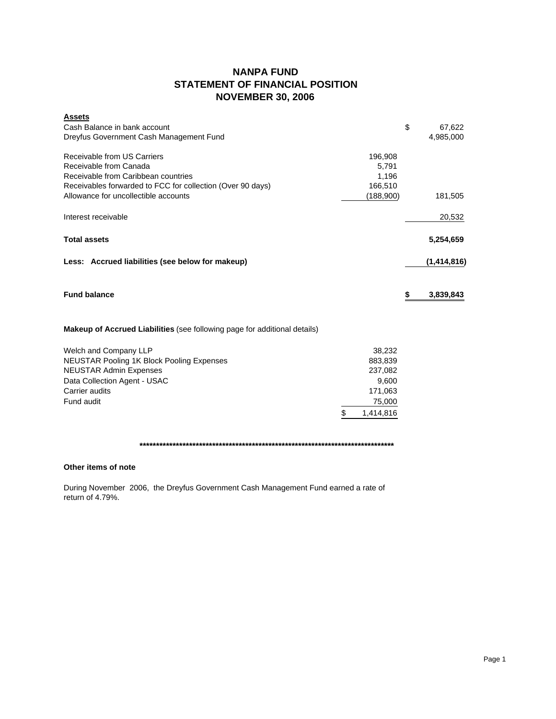### **NANPA FUND STATEMENT OF FINANCIAL POSITION NOVEMBER 30, 2006**

| <b>Assets</b><br>Cash Balance in bank account<br>Dreyfus Government Cash Management Fund                                                                   |                                      | \$<br>67,622<br>4,985,000 |
|------------------------------------------------------------------------------------------------------------------------------------------------------------|--------------------------------------|---------------------------|
| Receivable from US Carriers<br>Receivable from Canada<br>Receivable from Caribbean countries<br>Receivables forwarded to FCC for collection (Over 90 days) | 196,908<br>5,791<br>1,196<br>166,510 |                           |
| Allowance for uncollectible accounts                                                                                                                       | (188,900)                            | 181,505                   |
| Interest receivable                                                                                                                                        |                                      | 20,532                    |
| <b>Total assets</b>                                                                                                                                        |                                      | 5,254,659                 |
| Less: Accrued liabilities (see below for makeup)                                                                                                           |                                      | (1,414,816)               |
| <b>Fund balance</b>                                                                                                                                        |                                      | \$<br>3,839,843           |
| Makeup of Accrued Liabilities (see following page for additional details)                                                                                  |                                      |                           |
| Welch and Company LLP                                                                                                                                      | 38,232                               |                           |
| <b>NEUSTAR Pooling 1K Block Pooling Expenses</b>                                                                                                           | 883,839                              |                           |
| <b>NEUSTAR Admin Expenses</b>                                                                                                                              | 237,082                              |                           |
| Data Collection Agent - USAC<br>Carrier audits                                                                                                             | 9,600<br>171,063                     |                           |
| Fund audit                                                                                                                                                 | 75,000                               |                           |
|                                                                                                                                                            | \$<br>1,414,816                      |                           |
|                                                                                                                                                            |                                      |                           |

**\*\*\*\*\*\*\*\*\*\*\*\*\*\*\*\*\*\*\*\*\*\*\*\*\*\*\*\*\*\*\*\*\*\*\*\*\*\*\*\*\*\*\*\*\*\*\*\*\*\*\*\*\*\*\*\*\*\*\*\*\*\*\*\*\*\*\*\*\*\*\*\*\*\*\*\*\***

### **Other items of note**

During November 2006, the Dreyfus Government Cash Management Fund earned a rate of return of 4.79%.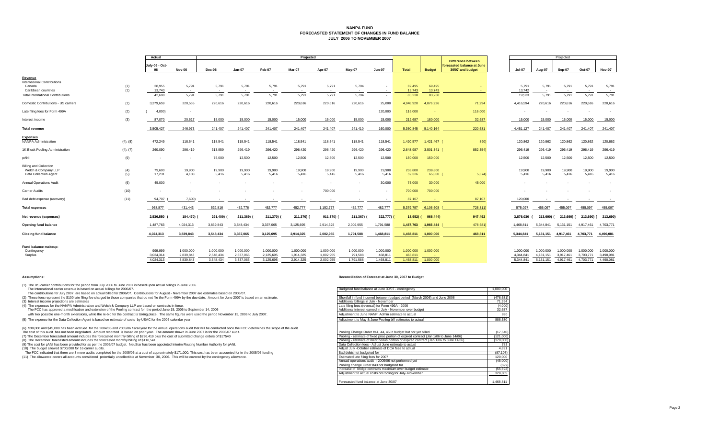#### **NANPA FUND FORECASTED STATEMENT OF CHANGES IN FUND BALANCEJULY 2006 TO NOVEMBER 2007**

|                                                                               |            | Actual               |                        | Projected              |                        |                        |                        |                        |                      |                      |                      |                     |                                                                             | Projected |                          |                        |                        |                        |                        |
|-------------------------------------------------------------------------------|------------|----------------------|------------------------|------------------------|------------------------|------------------------|------------------------|------------------------|----------------------|----------------------|----------------------|---------------------|-----------------------------------------------------------------------------|-----------|--------------------------|------------------------|------------------------|------------------------|------------------------|
|                                                                               |            | July-06 - Oct-<br>06 | Nov-06                 | Dec-06                 | $Jan-07$               | Feb-07                 | Mar-07                 | Apr-07                 | May-07               | <b>Jun-07</b>        | <b>Total</b>         | <b>Budget</b>       | <b>Difference between</b><br>forecasted balance at June<br>30/07 and budget | Jul-07    |                          | Aug-07                 | Sep-07                 | Oct-07                 | <b>Nov-07</b>          |
| Revenue<br><b>International Contributions</b>                                 |            |                      |                        |                        |                        |                        |                        |                        |                      |                      |                      |                     |                                                                             |           |                          |                        |                        |                        |                        |
| Canada<br>Caribbean countries                                                 | (1)<br>(1) | 28,955<br>13,743     | 5,791<br>$\sim$        | 5,791<br>$\sim$        | 5,791<br>$\sim$        | 5,791<br>$\sim$        | 5,791<br>$\sim$        | 5,791<br>$\sim$        | 5,794<br>$\sim$      | $\sim$               | 69.495<br>13,743     | 69.495<br>13,743    | <b>.</b>                                                                    |           | 5.791<br>13,742          | 5,791                  | 5,791<br>$\sim$        | 5,791<br>$\sim$        | 5,791<br>$\sim$        |
| <b>Total International Contributions</b>                                      |            | 42,698               | 5,791                  | 5,791                  | 5,791                  | 5,791                  | 5,791                  | 5,791                  | 5,794                |                      | 83,238               | 83,238              |                                                                             |           | 19,533                   | 5,791                  | 5,791                  | 5,791                  | 5,791                  |
| Domestic Contributions - US carriers                                          | (1)        | 3,379,659            | 220,565                | 220,616                | 220,616                | 220,616                | 220,616                | 220,616                | 220,616              | 25,000               | 4,948,920            | 4,876,926           | 71,994                                                                      |           | 4,416,594                | 220,616                | 220,616                | 220,616                | 220,616                |
| Late filing fees for Form 499A                                                | (2)        | 4,000                | $\sim$                 |                        |                        |                        |                        |                        |                      | 120,000              | 116,000              |                     | 116,000                                                                     |           | $\overline{\phantom{a}}$ |                        |                        |                        | $\sim$                 |
| Interest income                                                               | (3)        | 87,070               | 20.617                 | 15,000                 | 15,000                 | 15,000                 | 15,000                 | 15,000                 | 15,000               | 15,000               | 212,687              | 180,000             | 32,687                                                                      |           | 15,000                   | 15,000                 | 15,000                 | 15,000                 | 15,000                 |
| <b>Total revenue</b>                                                          |            | 3,505,427            | 246,973                | 241,407                | 241,407                | 241,407                | 241,407                | 241,407                | 241,410              | 160,000              | 5,360,845            | 5,140,164           | 220,681                                                                     |           | 4,451,127                | 241,407                | 241,407                | 241,407                | 241,407                |
| <b>Expenses</b><br><b>NANPA Administration</b>                                | (4), (8)   | 472,249              | 118,541                | 118,541                | 118,541                | 118,541                | 118,541                | 118,541                | 118,541              | 118,541              | 1,420,577            | 1,421,467 (         | 890)                                                                        |           | 120,862                  | 120,862                | 120,862                | 120,862                | 120,862                |
| 1K Block Pooling Administration                                               | (4), (7)   | 260,090              | 296,419                | 313,959                | 296,419                | 296,420                | 296,420                | 296,420                | 296,420              | 296,420              | 2,648,987            | 3,501,341 (         | 852,354)                                                                    |           | 296,419                  | 296,419                | 296,419                | 296,419                | 296,419                |
| pANI                                                                          | (9)        |                      |                        | 75,000                 | 12,500                 | 12,500                 | 12,500                 | 12,500                 | 12,500               | 12,500               | 150,000              | 150,000             |                                                                             |           | 12,500                   | 12,500                 | 12,500                 | 12,500                 | 12,500                 |
| <b>Billing and Collection</b><br>Welch & Company LLP<br>Data Collection Agent | (4)<br>(5) | 79,600<br>17.231     | 19,900<br>4.183        | 19,900<br>5,416        | 19,900<br>5,416        | 19,900<br>5.416        | 19,900<br>5.416        | 19,900<br>5,416        | 19,900<br>5,416      | 19,900<br>5,416      | 238,800<br>59,326    | 238,800<br>65,000 ( | 5,674                                                                       |           | 19,900<br>5,416          | 19,900<br>5,416        | 19,900<br>5,416        | 19,900<br>5,416        | 19,900<br>5,416        |
| Annual Operations Audit                                                       | (6)        | 45,000               |                        |                        |                        |                        |                        |                        | $\sim$               | 30,000               | 75,000               | 30,000              | 45,000                                                                      |           |                          |                        |                        |                        | $\sim$                 |
| <b>Carrier Audits</b>                                                         | (10)       |                      |                        |                        |                        |                        |                        | 700,000                |                      |                      | 700,000              | 700,000             |                                                                             |           |                          |                        |                        |                        | $\sim$                 |
| Bad debt expense (recovery)                                                   | (11)       | 94,707               | 7,600)                 |                        |                        |                        |                        |                        | $\sim$               |                      | 87,107               |                     | 87,107                                                                      |           | 120,000                  | $\sim$                 | $\sim$                 |                        |                        |
| <b>Total expenses</b>                                                         |            | 968,877              | 431,443                | 532,816                | 452,776                | 452,777                | 452,777                | 1,152,777              | 452,777              | 482,777              | 5.379.797            | 6,106,608           | 726,811                                                                     |           | 575,097                  | 455,097                | 455,097                | 455,097                | 455,097                |
| Net revenue (expenses)                                                        |            | 2,536,550            | 184,470)               | 291,409)               | 211,369)               | 211,370)               | 211,370)               | 911,370)               | 211,367)             | 322,777) (           | $18,952$ ) (         | 966,444)            | 947,492                                                                     |           | 3,876,030                | 213.690) (             | 213,690) (             | 213,690) (             | 213,690)               |
| <b>Opening fund balance</b>                                                   |            | 1,487,763            | 4.024.313              | 3,839,843              | 3,548,434              | 3,337,065              | 3,125,695              | 2,914,325              | 2,002,955            | 1,791,588            | 1,487,763            | 1,966,444           | 478,681                                                                     | 1,468,81  |                          | 5.344.841              | 5.131.151              | 4.917.461              | 4,703,771              |
| <b>Closing fund balance</b>                                                   |            | 4,024,313            | 3,839,843              | 3,548,434              | 3,337,065              | 3,125,695              | 2,914,325              | 2,002,955              | 1,791,588            | 1,468,811            | 1,468,811            | 1,000,000           | 468,811                                                                     | 5,344,841 |                          | 5,131,151              | 4,917,461              | 4,703,771              | 4,490,081              |
| Fund balance makeup:                                                          |            |                      |                        |                        |                        |                        |                        |                        |                      |                      |                      |                     |                                                                             |           |                          |                        |                        |                        |                        |
| Contingency<br>Surplus                                                        |            | 999,999<br>3,024,314 | 1,000,000<br>2.839.843 | 1,000,000<br>2.548.434 | 1,000,000<br>2.337.065 | 1,000,000<br>2,125,695 | 1,000,000<br>1.914.325 | 1,000,000<br>1.002.955 | 1,000,000<br>791.588 | 1,000,000<br>468.811 | 1,000,000<br>468.811 | 1,000,000           |                                                                             |           | 1.000.000<br>4.344.841   | 1.000.000<br>4.131.151 | 1.000.000<br>3.917.461 | 1.000.000<br>3,703,771 | 1,000,000<br>3,490,081 |
|                                                                               |            | 4.024.313            | 3.839.843              | 3.548.434              | 3.337.065              | 3.125.695              | 2.914.325              | 2.002.955              | 1.791.588            | 1.468.811            | 1.468.811            | 1.000.000           |                                                                             |           | 5.344.841                | 5.131.151              | 4.917.461              | 4.703.771              | 4.490.081              |

(1) The US carrier contributions for the period from July 2006 to June 2007 is based upon actual billings in June 2006.

The International carrier revenue is based on actual billings for 2006/07. The content of the COM of the Content of the Content of the Content of the Content of the Content of the Content of the Sudgeted fund balance at Ju

#### **Assumptions: Reconciliation of Forecast at June 30, 2007 to Budget**

| The contributions for July 2007 are based on actual billed for 2006/07. Contributions for August - November 2007 are estimates based on 2006/07.                                          |                                                                                        |            |
|-------------------------------------------------------------------------------------------------------------------------------------------------------------------------------------------|----------------------------------------------------------------------------------------|------------|
| (2) These fees represent the \$100 late filing fee charged to those companies that do not file the Form 499A by the due date. Amount for June 2007 is based on an estimate.               | Shortfall in fund incurred between budget period (March 2006) and June 2006            | (478, 681) |
| (3) Interest income projections are estimates                                                                                                                                             | Additional billings in July - November                                                 | 71.994     |
| (4) The expenses for the NANPA Administration and Welch & Company LLP are based on contracts in force.                                                                                    | Late filing fees (reversal) for Form 499A - 2006                                       | (4.000)    |
| The FCC has approved a modification and extension of the Pooling contract for the period June 15, 2006 to September 14, 2006                                                              | Additional interest earned in July - November over budget                              | 32,687     |
| with two possible one-month extensions, while the re-bid for the contract is taking place. The same figures were used the period November 15, 2006 to July 2007.                          | Adjustment to June NANP Admin estimate to actual                                       | 890        |
| (5) The expense for the Data Collection Agent is based on estimate of costs by USAC for the 2006 calendar year.                                                                           | Adjustment to May & June Pooling bill estimates to actual                              | 888,580    |
| (6) \$30,000 and \$45,000 has been accrued for the 2004/05 and 2005/06 fiscal year for the annual operations audit that will be conducted once the FCC determines the scope of the audit. |                                                                                        |            |
| The cost of this audit has not been negotiated. Amount recorded is based on prior year. The amount shown in June 2007 is for the 2006/07 audit.                                           | Pooling Change Order #41, 44, 45 in budget but not yet billed                          | (17, 540)  |
| (7) The December forecasted amount includes the forecasted monthly billing of \$296,419 plus the cost of submitted change orders of \$17540                                               | Pooling - estimate of fixed price portion of expired contract (Jan 1/06 to June 14/06) | (121,000)  |
| (8) The December forecasted amount includes the forecasted monthly billing of \$118,541                                                                                                   | Pooling - estimate of merit bonus portion of expired contract (Jan 1/06 to June 14/06) | (170,000)  |
| (9) The cost for pANI has been provided for as per the 2006/07 budget. NeuStar has been appointed Interim Routing Number Authority for pANI.                                              | Data Collection fees - Adjust June estimate to actual                                  | 783        |
| (10) The budget allowed \$700,000 for 16 carrier audits.                                                                                                                                  | Adjust July -October estimate of DCA fees to actual                                    | 4.891      |
| The FCC indicated that there are 3 more audits completed for the 2005/06 at a cost of approximately \$171,000. This cost has been accounted for in the 2005/06 funding                    | Bad debts not budgeted for                                                             | (87, 107)  |
| (11) The allowance covers all accounts considered potentially uncollectible at November 30, 2006. This will be covered by the contingency allowance.                                      | Estimated late filing fees for 2007                                                    | 120,000    |
|                                                                                                                                                                                           | Annual operations audit - 2005/06 not performed vet                                    | (45,000)   |
|                                                                                                                                                                                           | Pooling change Order #43 not budgeted for                                              | (599)      |
|                                                                                                                                                                                           | Increase of bridge contracts maximum over budget estimate                              | (55, 692)  |
|                                                                                                                                                                                           | Adjustment to actual costs of Pooling for July-November                                | 328,605    |
|                                                                                                                                                                                           | Forecasted fund balance at June 30/07                                                  | 1.468.811  |